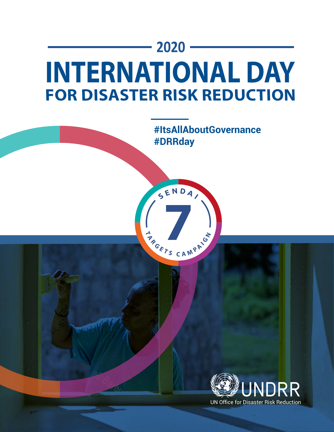# **2020 INTERNATIONAL DAY FOR DISASTER RISK REDUCTION**

**T**  $A$  **C**  $A$  **M**  $P$   $A$  **I**  $G$ 

SENDA,



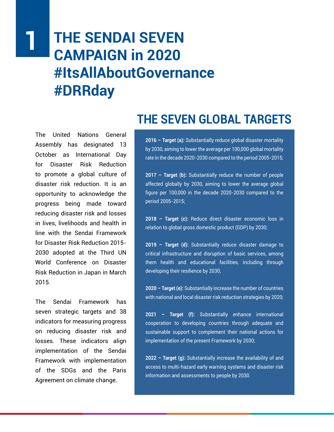# **THE SENDAI SEVEN CAMPAIGN in 2020 #ItsAllAboutGovernance #DRRday 1**

The United Nations General Assembly has designated 13 October as International Day for Disaster Risk Reduction to promote a global culture of disaster risk reduction. It is an opportunity to acknowledge the progress being made toward reducing disaster risk and losses in lives, livelihoods and health in line with the Sendai Framework for Disaster Risk Reduction 2015- 2030 adopted at the Third UN World Conference on Disaster Risk Reduction in Japan in March 2015.

The Sendai Framework has seven strategic targets and 38 indicators for measuring progress on reducing disaster risk and losses. These indicators align implementation of the Sendai Framework with implementation of the SDGs and the Paris Agreement on climate change.

## **THE SEVEN GLOBAL TARGETS**

**2016 – Target (a):** Substantially reduce global disaster mortality by 2030, aiming to lower the average per 100,000 global mortality rate in the decade 2020-2030 compared to the period 2005-2015;

**2017 – Target (b):** Substantially reduce the number of people affected globally by 2030, aiming to lower the average global figure per 100,000 in the decade 2020-2030 compared to the period 2005-2015;

**2018 – Target (c):** Reduce direct disaster economic loss in relation to global gross domestic product (GDP) by 2030;

**2019 – Target (d):** Substantially reduce disaster damage to critical infrastructure and disruption of basic services, among them health and educational facilities, including through developing their resilience by 2030;

**2020 – Target (e):** Substantially increase the number of countries with national and local disaster risk reduction strategies by 2020;

**2021 – Target (f):** Substantially enhance international cooperation to developing countries through adequate and sustainable support to complement their national actions for implementation of the present Framework by 2030;

**2022 – Target (g):** Substantially increase the availability of and access to multi-hazard early warning systems and disaster risk information and assessments to people by 2030.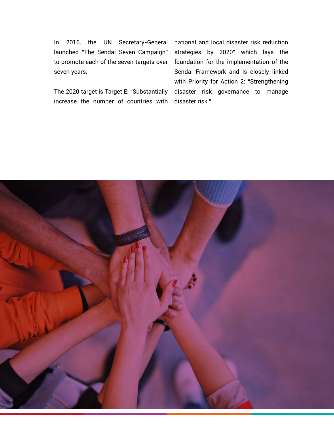In 2016, the UN Secretary-General launched "The Sendai Seven Campaign" to promote each of the seven targets over seven years.

The 2020 target is Target E: "Substantially increase the number of countries with

national and local disaster risk reduction strategies by 2020" which lays the foundation for the implementation of the Sendai Framework and is closely linked with Priority for Action 2: "Strengthening disaster risk governance to manage disaster risk."

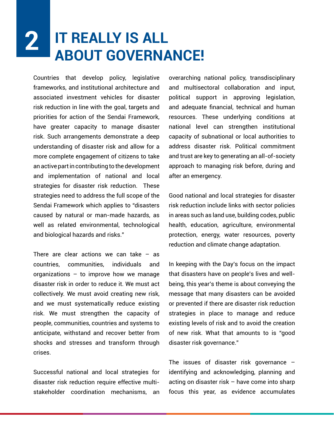### **IT REALLY IS ALL ABOUT GOVERNANCE! 2**

Countries that develop policy, legislative frameworks, and institutional architecture and associated investment vehicles for disaster risk reduction in line with the goal, targets and priorities for action of the Sendai Framework, have greater capacity to manage disaster risk. Such arrangements demonstrate a deep understanding of disaster risk and allow for a more complete engagement of citizens to take an active part in contributing to the development and implementation of national and local strategies for disaster risk reduction. These strategies need to address the full scope of the Sendai Framework which applies to "disasters caused by natural or man-made hazards, as well as related environmental, technological and biological hazards and risks."

There are clear actions we can take  $-$  as countries, communities, individuals and organizations – to improve how we manage disaster risk in order to reduce it. We must act collectively. We must avoid creating new risk, and we must systematically reduce existing risk. We must strengthen the capacity of people, communities, countries and systems to anticipate, withstand and recover better from shocks and stresses and transform through crises.

Successful national and local strategies for disaster risk reduction require effective multistakeholder coordination mechanisms, an overarching national policy, transdisciplinary and multisectoral collaboration and input, political support in approving legislation, and adequate financial, technical and human resources. These underlying conditions at national level can strengthen institutional capacity of subnational or local authorities to address disaster risk. Political commitment and trust are key to generating an all-of-society approach to managing risk before, during and after an emergency.

Good national and local strategies for disaster risk reduction include links with sector policies in areas such as land use, building codes, public health, education, agriculture, environmental protection, energy, water resources, poverty reduction and climate change adaptation.

In keeping with the Day's focus on the impact that disasters have on people's lives and wellbeing, this year's theme is about conveying the message that many disasters can be avoided or prevented if there are disaster risk reduction strategies in place to manage and reduce existing levels of risk and to avoid the creation of new risk. What that amounts to is "good disaster risk governance."

The issues of disaster risk governance – identifying and acknowledging, planning and acting on disaster risk – have come into sharp focus this year, as evidence accumulates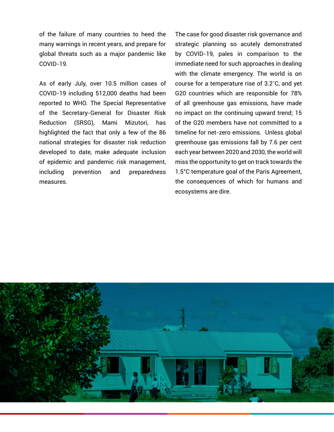of the failure of many countries to heed the many warnings in recent years, and prepare for global threats such as a major pandemic like COVID-19.

As of early July, over 10.5 million cases of COVID-19 including 512,000 deaths had been reported to WHO. The Special Representative of the Secretary-General for Disaster Risk Reduction (SRSG), Mami Mizutori, has highlighted the fact that only a few of the 86 national strategies for disaster risk reduction developed to date, make adequate inclusion of epidemic and pandemic risk management, including prevention and preparedness measures.

The case for good disaster risk governance and strategic planning so acutely demonstrated by COVID-19, pales in comparison to the immediate need for such approaches in dealing with the climate emergency. The world is on course for a temperature rise of 3.2˚C, and yet G20 countries which are responsible for 78% of all greenhouse gas emissions, have made no impact on the continuing upward trend; 15 of the G20 members have not committed to a timeline for net-zero emissions. Unless global greenhouse gas emissions fall by 7.6 per cent each year between 2020 and 2030, the world will miss the opportunity to get on track towards the 1.5°C temperature goal of the Paris Agreement, the consequences of which for humans and ecosystems are dire.

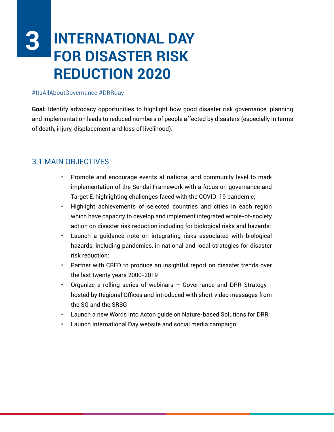# **INTERNATIONAL DAY FOR DISASTER RISK REDUCTION 2020 3**

#### #ItsAllAboutGovernance #DRRday

**Goal:** Identify advocacy opportunities to highlight how good disaster risk governance, planning and implementation leads to reduced numbers of people affected by disasters (especially in terms of death, injury, displacement and loss of livelihood).

### 3.1 MAIN OBJECTIVES

- Promote and encourage events at national and community level to mark implementation of the Sendai Framework with a focus on governance and Target E, highlighting challenges faced with the COVID-19 pandemic;
- Highlight achievements of selected countries and cities in each region which have capacity to develop and implement integrated whole-of-society action on disaster risk reduction including for biological risks and hazards;
- Launch a guidance note on integrating risks associated with biological hazards, including pandemics, in national and local strategies for disaster risk reduction:
- Partner with CRED to produce an insightful report on disaster trends over the last twenty years 2000-2019
- Organize a rolling series of webinars Governance and DRR Strategy hosted by Regional Offices and introduced with short video messages from the SG and the SRSG
- Launch a new Words into Acton guide on Nature-based Solutions for DRR
- Launch International Day website and social media campaign.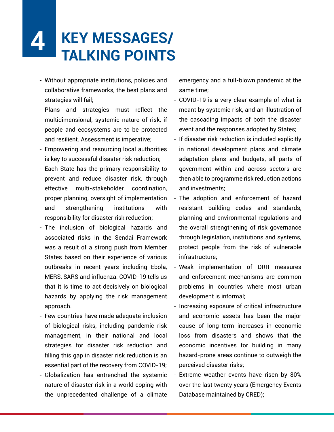### **KEY MESSAGES/ TALKING POINTS 4**

- Without appropriate institutions, policies and collaborative frameworks, the best plans and strategies will fail;
- Plans and strategies must reflect the multidimensional, systemic nature of risk, if people and ecosystems are to be protected and resilient. Assessment is imperative;
- Empowering and resourcing local authorities is key to successful disaster risk reduction;
- Each State has the primary responsibility to prevent and reduce disaster risk, through effective multi-stakeholder coordination, proper planning, oversight of implementation and strengthening institutions with responsibility for disaster risk reduction;
- The inclusion of biological hazards and associated risks in the Sendai Framework was a result of a strong push from Member States based on their experience of various outbreaks in recent years including Ebola, MERS, SARS and influenza. COVID-19 tells us that it is time to act decisively on biological hazards by applying the risk management approach.
- Few countries have made adequate inclusion of biological risks, including pandemic risk management, in their national and local strategies for disaster risk reduction and filling this gap in disaster risk reduction is an essential part of the recovery from COVID-19;
- Globalization has entrenched the systemic nature of disaster risk in a world coping with the unprecedented challenge of a climate

emergency and a full-blown pandemic at the same time;

- COVID-19 is a very clear example of what is meant by systemic risk, and an illustration of the cascading impacts of both the disaster event and the responses adopted by States;
- If disaster risk reduction is included explicitly in national development plans and climate adaptation plans and budgets, all parts of government within and across sectors are then able to programme risk reduction actions and investments;
- The adoption and enforcement of hazard resistant building codes and standards, planning and environmental regulations and the overall strengthening of risk governance through legislation, institutions and systems, protect people from the risk of vulnerable infrastructure;
- Weak implementation of DRR measures and enforcement mechanisms are common problems in countries where most urban development is informal;
- Increasing exposure of critical infrastructure and economic assets has been the major cause of long-term increases in economic loss from disasters and shows that the economic incentives for building in many hazard-prone areas continue to outweigh the perceived disaster risks;
- Extreme weather events have risen by 80% over the last twenty years (Emergency Events Database maintained by CRED);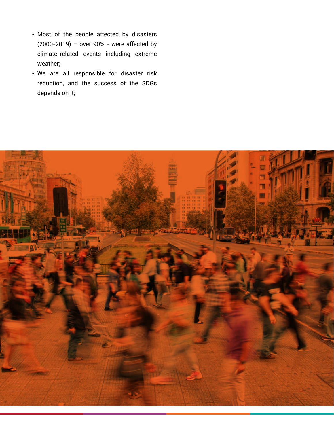- Most of the people affected by disasters (2000-2019) – over 90% - were affected by climate-related events including extreme weather;
- We are all responsible for disaster risk reduction, and the success of the SDGs depends on it;

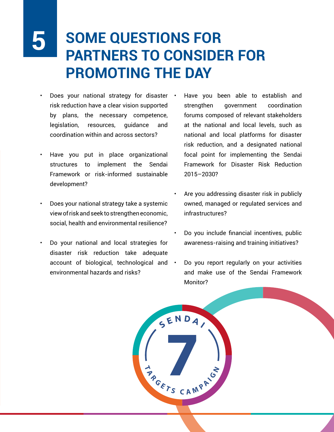# **5**

# **SOME QUESTIONS FOR PARTNERS TO CONSIDER FOR PROMOTING THE DAY**

- Does your national strategy for disaster . risk reduction have a clear vision supported by plans, the necessary competence, legislation, resources, guidance and coordination within and across sectors?
- Have you put in place organizational structures to implement the Sendai Framework or risk-informed sustainable development?
- Does your national strategy take a systemic view of risk and seek to strengthen economic, social, health and environmental resilience?
- Do your national and local strategies for disaster risk reduction take adequate account of biological, technological and  $\cdot$ environmental hazards and risks?
- Have you been able to establish and strengthen government coordination forums composed of relevant stakeholders at the national and local levels, such as national and local platforms for disaster risk reduction, and a designated national focal point for implementing the Sendai Framework for Disaster Risk Reduction 2015–2030?
- Are you addressing disaster risk in publicly owned, managed or regulated services and infrastructures?
- Do you include financial incentives, public awareness-raising and training initiatives?
- Do you report regularly on your activities and make use of the Sendai Framework Monitor?

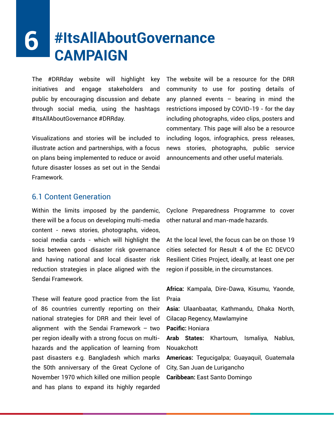### **#ItsAllAboutGovernance CAMPAIGN 6**

The #DRRday website will highlight key initiatives and engage stakeholders and public by encouraging discussion and debate through social media, using the hashtags #ItsAllAboutGovernance #DRRday.

Visualizations and stories will be included to illustrate action and partnerships, with a focus on plans being implemented to reduce or avoid future disaster losses as set out in the Sendai Framework.

The website will be a resource for the DRR community to use for posting details of any planned events  $-$  bearing in mind the restrictions imposed by COVID-19 - for the day including photographs, video clips, posters and commentary. This page will also be a resource including logos, infographics, press releases, news stories, photographs, public service announcements and other useful materials.

### 6.1 Content Generation

Within the limits imposed by the pandemic, there will be a focus on developing multi-media content - news stories, photographs, videos, social media cards - which will highlight the links between good disaster risk governance and having national and local disaster risk reduction strategies in place aligned with the Sendai Framework.

These will feature good practice from the list of 86 countries currently reporting on their national strategies for DRR and their level of alignment with the Sendai Framework – two per region ideally with a strong focus on multihazards and the application of learning from past disasters e.g. Bangladesh which marks the 50th anniversary of the Great Cyclone of November 1970 which killed one million people and has plans to expand its highly regarded

Cyclone Preparedness Programme to cover other natural and man-made hazards.

At the local level, the focus can be on those 19 cities selected for Result 4 of the EC DEVCO Resilient Cities Project, ideally, at least one per region if possible, in the circumstances.

**Africa:** Kampala, Dire-Dawa, Kisumu, Yaonde, Praia

**Asia:** Ulaanbaatar, Kathmandu, Dhaka North, Cilacap Regency, Mawlamyine

**Pacific:** Honiara

**Arab States:** Khartoum, Ismaliya, Nablus, Nouakchott

**Americas:** Tegucigalpa; Guayaquil, Guatemala City, San Juan de Lurigancho

**Caribbean:** East Santo Domingo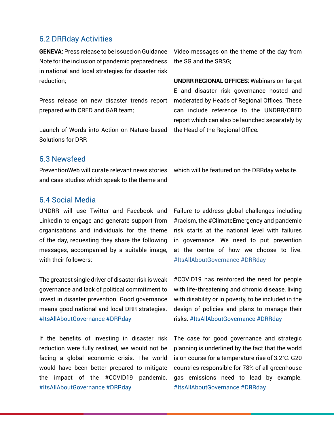### 6.2 DRRday Activities

**GENEVA:** Press release to be issued on Guidance Note for the inclusion of pandemic preparedness in national and local strategies for disaster risk reduction;

Press release on new disaster trends report prepared with CRED and GAR team;

Launch of Words into Action on Nature-based Solutions for DRR

Video messages on the theme of the day from the SG and the SRSG;

**UNDRR REGIONAL OFFICES:** Webinars on Target E and disaster risk governance hosted and moderated by Heads of Regional Offices. These can include reference to the UNDRR/CRED report which can also be launched separately by the Head of the Regional Office.

### 6.3 Newsfeed

and case studies which speak to the theme and

PreventionWeb will curate relevant news stories which will be featured on the DRRday website.

### 6.4 Social Media

UNDRR will use Twitter and Facebook and LinkedIn to engage and generate support from organisations and individuals for the theme of the day, requesting they share the following messages, accompanied by a suitable image, with their followers:

The greatest single driver of disaster risk is weak governance and lack of political commitment to invest in disaster prevention. Good governance means good national and local DRR strategies. #ItsAllAboutGovernance #DRRday

If the benefits of investing in disaster risk reduction were fully realised, we would not be facing a global economic crisis. The world would have been better prepared to mitigate the impact of the #COVID19 pandemic. #ItsAllAboutGovernance #DRRday

Failure to address global challenges including #racism, the #ClimateEmergency and pandemic risk starts at the national level with failures in governance. We need to put prevention at the centre of how we choose to live. #ItsAllAboutGovernance #DRRday

#COVID19 has reinforced the need for people with life-threatening and chronic disease, living with disability or in poverty, to be included in the design of policies and plans to manage their risks. #ItsAllAboutGovernance #DRRday

The case for good governance and strategic planning is underlined by the fact that the world is on course for a temperature rise of 3.2˚C. G20 countries responsible for 78% of all greenhouse gas emissions need to lead by example. #ItsAllAboutGovernance #DRRday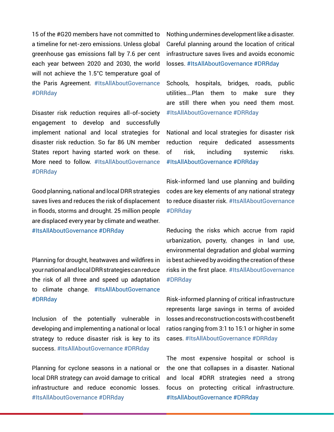15 of the #G20 members have not committed to a timeline for net-zero emissions. Unless global greenhouse gas emissions fall by 7.6 per cent each year between 2020 and 2030, the world will not achieve the 1.5°C temperature goal of the Paris Agreement. #ItsAllAboutGovernance #DRRday

Disaster risk reduction requires all-of-society engagement to develop and successfully implement national and local strategies for disaster risk reduction. So far 86 UN member States report having started work on these. More need to follow. #ItsAllAboutGovernance #DRRday

Good planning, national and local DRR strategies saves lives and reduces the risk of displacement in floods, storms and drought. 25 million people are displaced every year by climate and weather. #ItsAllAboutGovernance #DRRday

Planning for drought, heatwaves and wildfires in your national and local DRR strategies can reduce the risk of all three and speed up adaptation to climate change. #ItsAllAboutGovernance #DRRday

Inclusion of the potentially vulnerable in developing and implementing a national or local strategy to reduce disaster risk is key to its success. #ItsAllAboutGovernance #DRRday

Planning for cyclone seasons in a national or local DRR strategy can avoid damage to critical infrastructure and reduce economic losses. #ItsAllAboutGovernance #DRRday

Nothing undermines development like a disaster. Careful planning around the location of critical infrastructure saves lives and avoids economic losses. #ItsAllAboutGovernance #DRRday

Schools, hospitals, bridges, roads, public utilities.…Plan them to make sure they are still there when you need them most. #ItsAllAboutGovernance #DRRday

National and local strategies for disaster risk reduction require dedicated assessments of risk, including systemic risks. #ItsAllAboutGovernance #DRRday

Risk-informed land use planning and building codes are key elements of any national strategy to reduce disaster risk. #ItsAllAboutGovernance #DRRday

Reducing the risks which accrue from rapid urbanization, poverty, changes in land use, environmental degradation and global warming is best achieved by avoiding the creation of these risks in the first place. #ItsAllAboutGovernance #DRRday

Risk-informed planning of critical infrastructure represents large savings in terms of avoided losses and reconstruction costs with cost benefit ratios ranging from 3:1 to 15:1 or higher in some cases. #ItsAllAboutGovernance #DRRday

The most expensive hospital or school is the one that collapses in a disaster. National and local #DRR strategies need a strong focus on protecting critical infrastructure. #ItsAllAboutGovernance #DRRday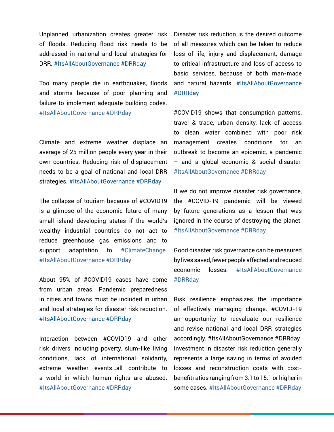Unplanned urbanization creates greater risk of floods. Reducing flood risk needs to be addressed in national and local strategies for DRR. #ItsAllAboutGovernance #DRRday

Too many people die in earthquakes, floods and storms because of poor planning and failure to implement adequate building codes. #ItsAllAboutGovernance #DRRday

Climate and extreme weather displace an average of 25 million people every year in their own countries. Reducing risk of displacement needs to be a goal of national and local DRR strategies. #ItsAllAboutGovernance #DRRday

The collapse of tourism because of #COVID19 is a glimpse of the economic future of many small island developing states if the world's wealthy industrial countries do not act to reduce greenhouse gas emissions and to support adaptation to #ClimateChange. #ItsAllAboutGovernance #DRRday

About 95% of #COVID19 cases have come from urban areas. Pandemic preparedness in cities and towns must be included in urban and local strategies for disaster risk reduction. #ItsAllAboutGovernance #DRRday

Interaction between #COVID19 and other risk drivers including poverty, slum-like living conditions, lack of international solidarity, extreme weather events…all contribute to a world in which human rights are abused. #ItsAllAboutGovernance #DRRday

Disaster risk reduction is the desired outcome of all measures which can be taken to reduce loss of life, injury and displacement, damage to critical infrastructure and loss of access to basic services, because of both man-made and natural hazards. #ItsAllAboutGovernance #DRRday

#COVID19 shows that consumption patterns, travel & trade, urban density, lack of access to clean water combined with poor risk management creates conditions for an outbreak to become an epidemic, a pandemic – and a global economic & social disaster. #ItsAllAboutGovernance #DRRday

If we do not improve disaster risk governance, the #COVID-19 pandemic will be viewed by future generations as a lesson that was ignored in the course of destroying the planet. #ItsAllAboutGovernance #DRRday

Good disaster risk governance can be measured by lives saved, fewer people affected and reduced economic losses. #ItsAllAboutGovernance #DRRday

Risk resilience emphasizes the importance of effectively managing change. #COVID-19 an opportunity to reevaluate our resilience and revise national and local DRR strategies accordingly. #ItsAllAboutGovernance #DRRday Investment in disaster risk reduction generally represents a large saving in terms of avoided losses and reconstruction costs with costbenefit ratios ranging from 3:1 to 15:1 or higher in some cases. #ItsAllAboutGovernance #DRRday